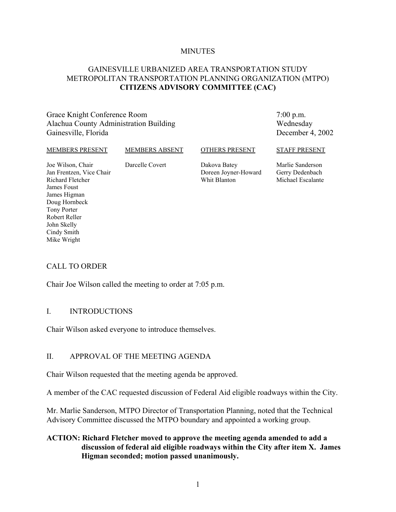#### **MINUTES**

## GAINESVILLE URBANIZED AREA TRANSPORTATION STUDY METROPOLITAN TRANSPORTATION PLANNING ORGANIZATION (MTPO) **CITIZENS ADVISORY COMMITTEE (CAC)**

Grace Knight Conference Room Alachua County Administration Building Gainesville, Florida

7:00 p.m. Wednesday December 4, 2002

#### MEMBERS PRESENT

#### MEMBERS ABSENT

Darcelle Covert

#### OTHERS PRESENT

Joe Wilson, Chair Jan Frentzen, Vice Chair Richard Fletcher James Foust James Higman Doug Hornbeck Tony Porter Robert Reller John Skelly Cindy Smith Mike Wright

Dakova Batey Doreen Joyner-Howard Whit Blanton

STAFF PRESENT Marlie Sanderson

Gerry Dedenbach Michael Escalante

## CALL TO ORDER

Chair Joe Wilson called the meeting to order at 7:05 p.m.

#### I. INTRODUCTIONS

Chair Wilson asked everyone to introduce themselves.

## II. APPROVAL OF THE MEETING AGENDA

Chair Wilson requested that the meeting agenda be approved.

A member of the CAC requested discussion of Federal Aid eligible roadways within the City.

Mr. Marlie Sanderson, MTPO Director of Transportation Planning, noted that the Technical Advisory Committee discussed the MTPO boundary and appointed a working group.

## **ACTION: Richard Fletcher moved to approve the meeting agenda amended to add a discussion of federal aid eligible roadways within the City after item X. James Higman seconded; motion passed unanimously.**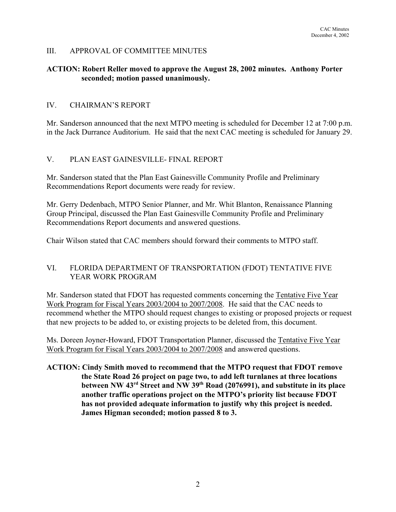#### III. APPROVAL OF COMMITTEE MINUTES

## **ACTION: Robert Reller moved to approve the August 28, 2002 minutes. Anthony Porter seconded; motion passed unanimously.**

#### IV. CHAIRMAN'S REPORT

Mr. Sanderson announced that the next MTPO meeting is scheduled for December 12 at 7:00 p.m. in the Jack Durrance Auditorium. He said that the next CAC meeting is scheduled for January 29.

## V. PLAN EAST GAINESVILLE- FINAL REPORT

Mr. Sanderson stated that the Plan East Gainesville Community Profile and Preliminary Recommendations Report documents were ready for review.

Mr. Gerry Dedenbach, MTPO Senior Planner, and Mr. Whit Blanton, Renaissance Planning Group Principal, discussed the Plan East Gainesville Community Profile and Preliminary Recommendations Report documents and answered questions.

Chair Wilson stated that CAC members should forward their comments to MTPO staff.

## VI. FLORIDA DEPARTMENT OF TRANSPORTATION (FDOT) TENTATIVE FIVE YEAR WORK PROGRAM

Mr. Sanderson stated that FDOT has requested comments concerning the Tentative Five Year Work Program for Fiscal Years 2003/2004 to 2007/2008. He said that the CAC needs to recommend whether the MTPO should request changes to existing or proposed projects or request that new projects to be added to, or existing projects to be deleted from, this document.

Ms. Doreen Joyner-Howard, FDOT Transportation Planner, discussed the Tentative Five Year Work Program for Fiscal Years 2003/2004 to 2007/2008 and answered questions.

**ACTION: Cindy Smith moved to recommend that the MTPO request that FDOT remove the State Road 26 project on page two, to add left turnlanes at three locations between NW 43rd Street and NW 39th Road (2076991), and substitute in its place another traffic operations project on the MTPO's priority list because FDOT has not provided adequate information to justify why this project is needed. James Higman seconded; motion passed 8 to 3.**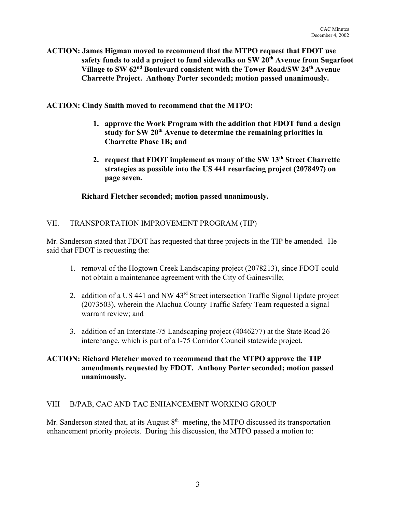**ACTION: James Higman moved to recommend that the MTPO request that FDOT use** safety funds to add a project to fund sidewalks on SW 20<sup>th</sup> Avenue from Sugarfoot **Village to SW 62nd Boulevard consistent with the Tower Road/SW 24th Avenue Charrette Project. Anthony Porter seconded; motion passed unanimously.**

**ACTION: Cindy Smith moved to recommend that the MTPO:**

- **1. approve the Work Program with the addition that FDOT fund a design** study for SW 20<sup>th</sup> Avenue to determine the remaining priorities in **Charrette Phase 1B; and**
- 2. request that FDOT implement as many of the SW 13<sup>th</sup> Street Charrette **strategies as possible into the US 441 resurfacing project (2078497) on page seven.**

## **Richard Fletcher seconded; motion passed unanimously.**

## VII. TRANSPORTATION IMPROVEMENT PROGRAM (TIP)

Mr. Sanderson stated that FDOT has requested that three projects in the TIP be amended. He said that FDOT is requesting the:

- 1. removal of the Hogtown Creek Landscaping project (2078213), since FDOT could not obtain a maintenance agreement with the City of Gainesville;
- 2. addition of a US 441 and NW 43rd Street intersection Traffic Signal Update project (2073503), wherein the Alachua County Traffic Safety Team requested a signal warrant review; and
- 3. addition of an Interstate-75 Landscaping project (4046277) at the State Road 26 interchange, which is part of a I-75 Corridor Council statewide project.

## **ACTION: Richard Fletcher moved to recommend that the MTPO approve the TIP amendments requested by FDOT. Anthony Porter seconded; motion passed unanimously.**

## VIII B/PAB, CAC AND TAC ENHANCEMENT WORKING GROUP

Mr. Sanderson stated that, at its August  $8<sup>th</sup>$  meeting, the MTPO discussed its transportation enhancement priority projects. During this discussion, the MTPO passed a motion to: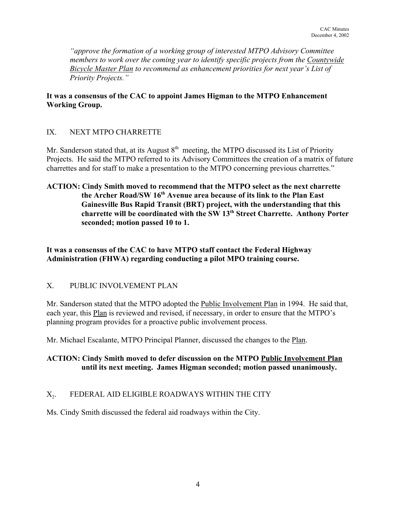*"approve the formation of a working group of interested MTPO Advisory Committee members to work over the coming year to identify specific projects from the Countywide Bicycle Master Plan to recommend as enhancement priorities for next year's List of Priority Projects."*

## **It was a consensus of the CAC to appoint James Higman to the MTPO Enhancement Working Group.**

## IX. NEXT MTPO CHARRETTE

Mr. Sanderson stated that, at its August  $8<sup>th</sup>$  meeting, the MTPO discussed its List of Priority Projects. He said the MTPO referred to its Advisory Committees the creation of a matrix of future charrettes and for staff to make a presentation to the MTPO concerning previous charrettes."

**ACTION: Cindy Smith moved to recommend that the MTPO select as the next charrette the Archer Road/SW 16th Avenue area because of its link to the Plan East Gainesville Bus Rapid Transit (BRT) project, with the understanding that this charrette will be coordinated with the SW 13th Street Charrette. Anthony Porter seconded; motion passed 10 to 1.**

## **It was a consensus of the CAC to have MTPO staff contact the Federal Highway Administration (FHWA) regarding conducting a pilot MPO training course.**

## X. PUBLIC INVOLVEMENT PLAN

Mr. Sanderson stated that the MTPO adopted the Public Involvement Plan in 1994. He said that, each year, this Plan is reviewed and revised, if necessary, in order to ensure that the MTPO's planning program provides for a proactive public involvement process.

Mr. Michael Escalante, MTPO Principal Planner, discussed the changes to the Plan.

## **ACTION: Cindy Smith moved to defer discussion on the MTPO Public Involvement Plan until its next meeting. James Higman seconded; motion passed unanimously.**

## X<sub>2</sub>. FEDERAL AID ELIGIBLE ROADWAYS WITHIN THE CITY

Ms. Cindy Smith discussed the federal aid roadways within the City.